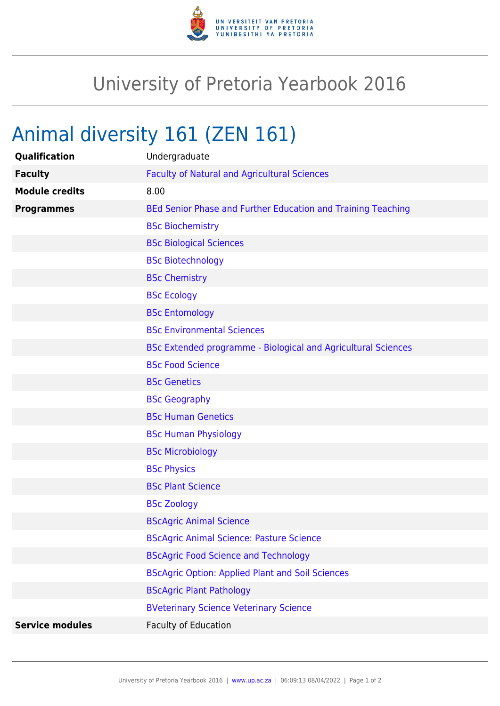

## University of Pretoria Yearbook 2016

## Animal diversity 161 (ZEN 161)

| Qualification          | Undergraduate                                                 |
|------------------------|---------------------------------------------------------------|
| <b>Faculty</b>         | <b>Faculty of Natural and Agricultural Sciences</b>           |
| <b>Module credits</b>  | 8.00                                                          |
| <b>Programmes</b>      | BEd Senior Phase and Further Education and Training Teaching  |
|                        | <b>BSc Biochemistry</b>                                       |
|                        | <b>BSc Biological Sciences</b>                                |
|                        | <b>BSc Biotechnology</b>                                      |
|                        | <b>BSc Chemistry</b>                                          |
|                        | <b>BSc Ecology</b>                                            |
|                        | <b>BSc Entomology</b>                                         |
|                        | <b>BSc Environmental Sciences</b>                             |
|                        | BSc Extended programme - Biological and Agricultural Sciences |
|                        | <b>BSc Food Science</b>                                       |
|                        | <b>BSc Genetics</b>                                           |
|                        | <b>BSc Geography</b>                                          |
|                        | <b>BSc Human Genetics</b>                                     |
|                        | <b>BSc Human Physiology</b>                                   |
|                        | <b>BSc Microbiology</b>                                       |
|                        | <b>BSc Physics</b>                                            |
|                        | <b>BSc Plant Science</b>                                      |
|                        | <b>BSc Zoology</b>                                            |
|                        | <b>BScAgric Animal Science</b>                                |
|                        | <b>BScAgric Animal Science: Pasture Science</b>               |
|                        | <b>BScAgric Food Science and Technology</b>                   |
|                        | <b>BScAgric Option: Applied Plant and Soil Sciences</b>       |
|                        | <b>BScAgric Plant Pathology</b>                               |
|                        | <b>BVeterinary Science Veterinary Science</b>                 |
| <b>Service modules</b> | Faculty of Education                                          |
|                        |                                                               |